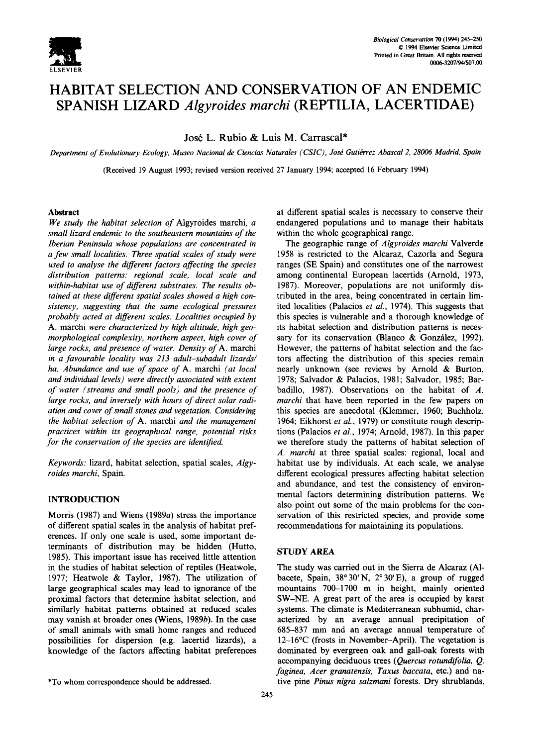

# **HABITAT SELECTION AND CONSERVATION OF AN ENDEMIC SPANISH LIZARD** *Algyroides marchi* **(REPTILIA, LACERTIDAE)**

Jos6 L. Rubio & Luis M. Carrascal\*

*Department of Evolutionary Ecology, Museo Nacional de Ciencias Naturales (CSIC), José Gutièrrez Abascal 2, 28006 Madrid, Spain* 

(Received 19 August 1993; revised version received 27 January 1994; accepted 16 February 1994)

## **Abstract**

*We study the habitat selection of* Algyroides marchi, a *small lizard endemic to the southeastern mountains of the Iberian Peninsula whose populations are concentrated in a few small localities. Three spatial scales of study were used to analyse the different factors affecting the species distribution patterns: regional scale, local scale and within-habitat use of different substrates. The results obtained at these different spatial scales showed a high consistency, suggesting that the same ecological pressures probably acted at different scales. Localities occupied by*  A. marchi *were characterized by high altitude, high geomorphological complexity, northern aspect, high cover of large rocks, and presence of water. Density of* A. marchi *in a favourable locality was 213 adult-subadult lizards/ ha. Abundance and use of space of* A. marchi *(at local and individual levels) were directly associated with extent of water (streams and small pools) and the presence of large rocks, and inversely with hours of direct solar radiation and cover of small stones and vegetation. Considering the habitat selection of* A. marchi *and the management practices within its geographical range, potential risks for the conservation of the species are identified.* 

*Keywords:* lizard, habitat selection, spatial scales, *Algyroides marchi,* Spain.

## INTRODUCTION

Morris (1987) and Wiens (1989a) stress the importance of different spatial scales in the analysis of habitat preferences. If only one scale is used, some important determinants of distribution may be hidden (Hutto, 1985). This important issue has received little attention in the studies of habitat selection of reptiles (Heatwole, 1977; Heatwole & Taylor, 1987). The utilization of large geographical scales may lead to ignorance of the proximal factors that determine habitat selection, and similarly habitat patterns obtained at reduced scales may vanish at broader ones (Wiens, 1989b). In the case of small animals with small home ranges and reduced possibilities for dispersion (e.g. lacertid lizards), a knowledge of the factors affecting habitat preferences at different spatial scales is necessary to conserve their endangered populations and to manage their habitats within the whole geographical range.

The geographic range of *Algyroides marchi* Valverde 1958 is restricted to the Alcaraz, Cazorla and Segura ranges (SE Spain) and constitutes one of the narrowest among continental European lacertids (Arnold, 1973, 1987). Moreover, populations are not uniformly distributed in the area, being concentrated in certain limited localities (Palacios *et al.,* 1974). This suggests that this species is vulnerable and a thorough knowledge of its habitat selection and distribution patterns is necessary for its conservation (Blanco & González, 1992). However, the patterns of habitat selection and the factors affecting the distribution of this species remain nearly unknown (see reviews by Arnold & Burton, 1978; Salvador & Palacios, 1981; Salvador, 1985; Barbadillo, 1987). Observations on the habitat of A. *marchi* that have been reported in the few papers on this species are anecdotal (Klemmer, 1960; Buchholz, 1964; Eikhorst *et al.,* 1979) or constitute rough descriptions (Palacios *et al.,* 1974; Arnold, 1987). In this paper we therefore study the patterns of habitat selection of *,4. marchi* at three spatial scales: regional, local and habitat use by individuals. At each scale, we analyse different ecological pressures affecting habitat selection and abundance, and test the consistency of environmental factors determining distribution patterns. We also point out some of the main problems for the conservation of this restricted species, and provide some recommendations for maintaining its populations.

## **STUDY AREA**

The study was carried out in the Sierra de Alcaraz (A1 bacete, Spain,  $38^{\circ}30'$  N,  $2^{\circ}30'$  E), a group of rugged mountains 700-1700 m in height, mainly oriented SW-NE. A great part of the area is occupied by karst systems. The climate is Mediterranean subhumid, characterized by an average annual precipitation of 685-837 mm and an average annual temperature of 12-16°C (frosts in November-April). The vegetation is dominated by evergreen oak and gall-oak forests with accompanying deciduous trees *(Quercus rotundifolia, Q. faginea, Acer granatensis, Taxus baccata,* etc.) and native pine *Pinus nigra salzmani* forests. Dry shrublands,

<sup>\*</sup>To whom correspondence should be addressed.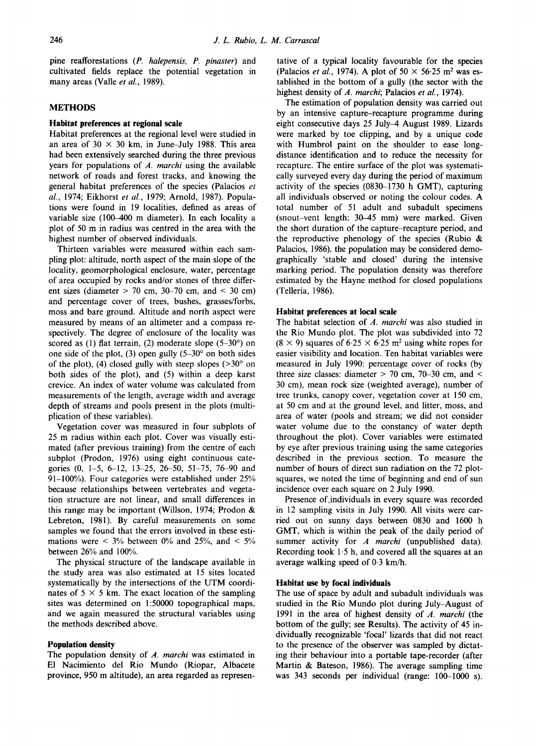pine reafforestations *(P. halepensis, P. pinaster)* and cultivated fields replace the potential vegetation in many areas (Valle *et al.,* 1989).

## **METHODS**

#### **Habitat preferences at regional scale**

Habitat preferences at the regional level were studied in an area of  $30 \times 30$  km, in June-July 1988. This area had been extensively searched during the three previous years for populations of *A. marchi* using the available network of roads and forest tracks, and knowing the general habitat preferences of the species (Palacios *et al.,* 1974; Eikhorst *et al.,* 1979; Arnold, 1987). Populations were found in 19 localities, defined as areas of variable size (100-400 m diameter). In each locality a plot of 50 m in radius was centred in the area with the highest number of observed individuals.

Thirteen variables were measured within each sampling plot: altitude, north aspect of the main slope of the locality, geomorphological enclosure, water, percentage of area occupied by rocks and/or stones of three different sizes (diameter  $> 70$  cm,  $30-70$  cm, and  $< 30$  cm) and percentage cover of trees, bushes, grasses/forbs, moss and bare ground. Altitude and north aspect were measured by means of an altimeter and a compass respectively. The degree of enclosure of the locality was scored as (1) flat terrain, (2) moderate slope  $(5-30^{\circ})$  on one side of the plot, (3) open gully  $(5-30°)$  on both sides of the plot), (4) closed gully with steep slopes  $(>30^{\circ}$  on both sides of the plot), and (5) within a deep karst crevice. An index of water volume was calculated from measurements of the length, average width and average depth of streams and pools present in the plots (multiplication of these variables).

Vegetation cover was measured in four subplots of 25 m radius within each plot. Cover was visually estimated (after previous training) from the centre of each subplot (Prodon, 1976) using eight continuous categories (0, 1-5, 6-12, 13-25, 26-50, 51-75, 76-90 and 91-100%). Four categories were established under 25% because relationships between vertebrates and vegetation structure are not linear, and small differences in this range may be important (Willson, 1974; Prodon & Lebreton, 1981). By careful measurements on some samples we found that the errors involved in these estimations were  $\lt$  3% between 0% and 25%, and  $\lt$  5% between 26% and 100%.

The physical structure of the landscape available in the study area was also estimated at 15 sites located systematically by the intersections of the UTM coordinates of  $5 \times 5$  km. The exact location of the sampling sites was determined on 1:50000 topographical maps, and we again measured the structural variables using the methods described above.

## **Population density**

The population density of *A. marchi* was estimated in El Nacimiento del Rio Mundo (Riopar, Albacete province, 950 m altitude), an area regarded as **represen-**

tative of a typical locality favourable for the **species**  (Palacios *et al.*, 1974). A plot of  $50 \times 56.25$  m<sup>2</sup> was es**tablished** in the bottom of a gully (the sector with the highest density of *A. marchi;* Palacios *et al.,* 1974).

The estimation of population density was carried out by an intensive capture-recapture programme during eight consecutive days 25 July-4 August 1989. Lizards were marked by toe clipping, and by a unique code with Humbrol paint on the shoulder to ease longdistance identification and to reduce the necessity for recapture. The entire surface of the plot was systematically surveyed every day during the period of maximum activity of the species (0830-1730 h GMT), capturing all individuals observed or noting the colour codes. A total number of 51 adult and subadult specimens (snout-vent length: 30-45 mm) were marked. Given the short duration of the capture-recapture period, and the reproductive phenology of the species (Rubio  $\&$ Palacios, 1986). the population may be considered demographically 'stable and closed' during the intensive marking period. The population density was therefore estimated by the Hayne method for closed populations (Telleria, 1986).

#### **Habitat preferences at local scale**

The habitat selection of *A. marchi* was also studied in the Rio Mundo plot. The plot was subdivided into 72  $(8 \times 9)$  squares of 6.25  $\times$  6.25 m<sup>2</sup> using white ropes for easier visibility and location. Ten habitat variables were measured in July 1990: percentage cover of rocks (by three size classes: diameter  $> 70$  cm,  $70-30$  cm, and  $<$ 30 cm), mean rock size (weighted average), number of tree trunks, canopy cover, vegetation cover at 150 cm, at 50 cm and at the ground level, and litter, moss, and area of water (pools and stream; we did not consider water volume due to the constancy of water depth throughout the plot). Cover variables were estimated by eye after previous training using the same categories described in the previous section. To measure the number of hours of direct sun radiation on the 72 plotsquares, we noted the time of beginning and end of sun incidence over each square on 2 July 1990.

Presence of, individuals in every square was recorded in 12 sampling visits in July 1990. All visits were carried out on sunny days between 0830 and 1600 h GMT, which is within the peak of the daily period of summer activity for *A marchi* (unpublished data). Recording took  $1.5$  h, and covered all the squares at an average walking speed of 0.3 km/h.

## **Habitat use by focal individuals**

The use of space by adult and subadult individuals was studied in the Rio Mundo plot during July-August of 1991 in the area of highest density of *A. marchi* (the bottom of the gully; see Results). The activity of 45 individually recognizable 'focal' lizards that did not react to the presence of the observer was sampled by dictating their behaviour into a portable tape-recorder (after Martin & Bateson, 1986). The average sampling time was 343 seconds per individual (range: 100-1000 s).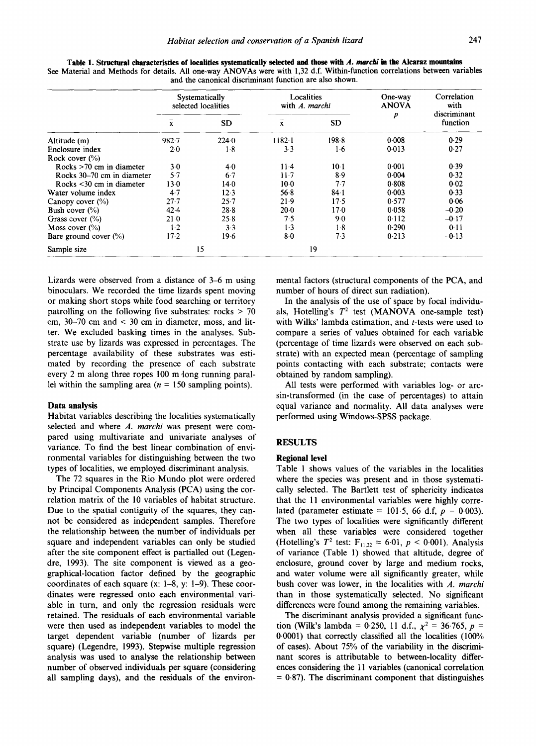|                                | Systematically<br>selected localities |           | Localities<br>with A. marchi |           | One-way<br><b>ANOVA</b> | Correlation<br>with      |
|--------------------------------|---------------------------------------|-----------|------------------------------|-----------|-------------------------|--------------------------|
|                                | $\mathbf x$                           | <b>SD</b> | $\boldsymbol{\mathrm{X}}$    | <b>SD</b> | $\boldsymbol{p}$        | discriminant<br>function |
| Altitude (m)                   | $982 - 7$                             | 224.0     | $1182 - 1$                   | 198.8     | 0.008                   | 0.29                     |
| Enclosure index                | 2.0                                   | $1-8$     | 3.3                          | $1-6$     | 0.013                   | 0.27                     |
| Rock cover $(\%)$              |                                       |           |                              |           |                         |                          |
| Rocks $>70$ cm in diameter     | $3-0$                                 | $4-0$     | $11-4$                       | $10-1$    | 0.001                   | 0.39                     |
| Rocks 30–70 cm in diameter     | 5.7                                   | $6-7$     | $11-7$                       | 8.9       | 0.004                   | 0.32                     |
| Rocks $\leq$ 30 cm in diameter | 13.0                                  | $14-0$    | $10-0$                       | 7.7       | 0.808                   | 0.02                     |
| Water volume index             | 4.7                                   | 12.3      | 56.8                         | 84.1      | $0-003$                 | 0.33                     |
| Canopy cover $(\%$ )           | $27 - 7$                              | 25.7      | 21.9                         | 17.5      | 0.577                   | 0.06                     |
| Bush cover $(\%)$              | 42.4                                  | 28.8      | $20-0$                       | 17.0      | 0.058                   | $-0.20$                  |
| Grass cover $(\%)$             | 21.0                                  | 25.8      | 7.5                          | 9.0       | 0.112                   | $-0.17$                  |
| Moss cover $(\% )$             | $1-2$                                 | 3.3       | $1-3$                        | $1-8$     | 0.290                   | 0.11                     |
| Bare ground cover $(\% )$      | $17-2$                                | 19.6      | $8-0$                        | 7.3       | 0.213                   | $-0.13$                  |
| Sample size                    |                                       | 15        |                              | 19        |                         |                          |

**Table 1. Structural characteristics of localities systematically selected and those** *with A. marchi in* **the Alearaz mountains**  See Material and Methods for details. All one-way ANOVAs were with 1,32 d,f. Within-function correlations between variables and the canonical discriminant function are also shown.

Lizards were observed from a distance of 3-6 m using binoculars. We recorded the time lizards spent moving or making short stops while food searching or territory patrolling on the following five substrates: rocks  $> 70$ cm, 30-70 cm and < 30 cm in diameter, moss, and litter. We excluded basking times in the analyses. Substrate use by lizards was expressed in percentages. The percentage availability of these substrates was estimated by recording the presence of each substrate every 2 m along three ropes 100 m long running parallel within the sampling area ( $n = 150$  sampling points).

#### **Data analysis**

Habitat variables describing the localities systematically selected and where *A. marchi* was present were compared using multivariate and univariate analyses of variance. To find the best linear combination of environmental variables for distinguishing between the two types of localities, we employed discriminant analysis.

The 72 squares in the Rio Mundo plot were ordered by Principal Components Analysis (PCA) using the correlation matrix of the 10 variables of habitat structure. Due to the spatial contiguity of the squares, they cannot be considered as independent samples. Therefore the relationship between the number of individuals per square and independent variables can only be studied after the site component effect is partialled out (Legendre, 1993). The site component is viewed as a geographical-location factor defined by the geographic coordinates of each square (x: 1-8, y: 1-9). These coordinates were regressed onto each environmental variable in turn, and only the regression residuals were retained. The residuals of each environmental variable were then used as independent variables to model the target dependent variable (number of lizards per square) (Legendre, 1993). Stepwise multiple regression analysis was used to analyse the relationship between number of observed individuals per square (considering all sampling days), and the residuals of the environmental factors (structural components of the PCA, and number of hours of direct sun radiation).

In the analysis of the use of space by focal individuals, Hotelling's  $T^2$  test (MANOVA one-sample test) with Wilks' lambda estimation, and *t*-tests were used to compare a series of values obtained for each variable (percentage of time lizards were observed on each substrate) with an expected mean (percentage of sampling points contacting with each substrate; contacts were obtained by random sampling).

All tests were performed with variables log- or arcsin-transformed (in the case of percentages) to attain equal variance and normality. All data analyses were performed using Windows-SPSS package.

#### RESULTS

## **Regional level**

Table 1 shows values of the variables in the localities where the species was present and in those systematically selected. The Bartlett test of sphericity indicates that the 11 environmental variables were highly correlated (parameter estimate =  $101.5$ , 66 d.f,  $p = 0.003$ ). The two types of localities were significantly different when all these variables were considered together (Hotelling's  $T^2$  test:  $F_{11,22} = 6.01, p < 0.001$ ). Analysis of variance (Table 1) showed that altitude, degree of enclosure, ground cover by large and medium rocks, and water volume were all significantly greater, while bush cover was lower, in the localities with *A. marchi*  than in those systematically selected. No significant differences were found among the remaining variables.

The discriminant analysis provided a significant function (Wilk's lambda = 0.250, 11 d.f.,  $\chi^2 = 36.765$ ,  $p =$ 0.0001) that correctly classified all the localities (100% of cases). About 75% of the variability in the discriminant scores is attributable to between-locality differences considering the 11 variables (canonical correlation  $= 0.87$ ). The discriminant component that distinguishes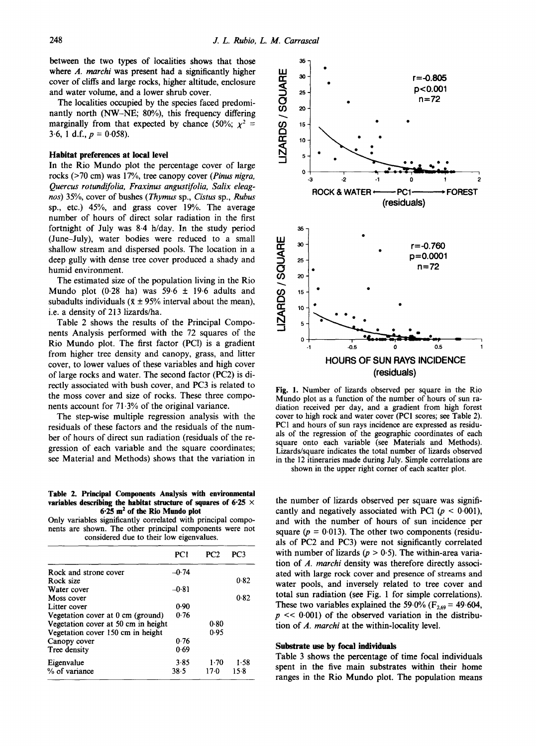between the two types of localities shows that those where *A. marchi* was present had a significantly higher cover of cliffs and large rocks, higher altitude, enclosure and water volume, and a lower shrub cover.

The localities occupied by the species faced predominantly north (NW-NE; 80%), this frequency differing marginally from that expected by chance (50%;  $\chi^2$  = 3.6, 1 d.f.,  $p = 0.058$ ).

#### **Habitat preferences at local level**

In the Rio Mundo plot the percentage cover of large rocks (>70 cm) was 17%, tree canopy cover *(Pinus nigra, Quercus rotundifolia, Fraxinus angustifolia, Salix eleagnos)* 35%, cover of bushes *(Thymus* sp., *Cistus* sp., Rubus sp., etc.) 45%, and grass cover 19%. The average number of hours of direct solar radiation in the first fortnight of July was 8.4 h/day. In the study period (June-July), water bodies were reduced to a small shallow stream and dispersed pools. The location in a deep gully with dense tree cover produced a shady and humid environment.

The estimated size of the population living in the Rio Mundo plot  $(0.28 \text{ ha})$  was 59.6  $\pm$  19.6 adults and subadults individuals ( $\bar{x} \pm 95\%$  interval about the mean), i.e. a density of 213 lizards/ha.

Table 2 shows the results of the Principal Components Analysis performed with the 72 squares of the Rio Mundo plot. The first factor (PC1) is a gradient from higher tree density and canopy, grass, and litter cover, to lower values of these variables and high cover of large rocks and water. The second factor (PC2) is directly associated with bush cover, and PC3 is related to the moss cover and size of rocks. These three components account for 71-3% of the original variance.

The step-wise multiple regression analysis with the residuals of these factors and the residuals of the number of hours of direct sun radiation (residuals of the regression of each variable and the square coordinates; see Material and Methods) shows that the variation in

**Table 2. Principal Components Analysis with environmental variables describing the habitat structure of squares of 6.25 x 6.25 m 2 of the Rio Mundo plot** 

Only variables significantly correlated with principal components are shown. The other principal components were not considered due to their low eigenvalues.

|                                     | PC1     | PC2    | PC3    |
|-------------------------------------|---------|--------|--------|
| Rock and strone cover               | $-0.74$ |        |        |
| Rock size                           |         |        | 0.82   |
| Water cover                         | $-0.81$ |        |        |
| Moss cover                          |         |        | 0.82   |
| Litter cover                        | 0.90    |        |        |
| Vegetation cover at 0 cm (ground)   | 0.76    |        |        |
| Vegetation cover at 50 cm in height |         | 0.80   |        |
| Vegetation cover 150 cm in height   |         | 0.95   |        |
| Canopy cover                        | 0.76    |        |        |
| Tree density                        | 0.69    |        |        |
| Eigenvalue                          | 3.85    | $1-70$ | 1.58   |
| % of variance                       | 38.5    | $17-0$ | $15-8$ |



Fig. 1. Number of lizards observed per square in the Rio Mundo plot as a function of the number of hours of sun radiation received per day, and a gradient from high forest cover to high rock and water cover (PCI scores; see Table 2). PC1 and hours of sun rays incidence are expressed as residuals of the regression of the geographic coordinates of each square onto each variable (see Materials and Methods). Lizards/square indicates the total number of lizards observed in the 12 itineraries made during July. Simple correlations are

shown in the upper right comer of each scatter plot.

the number of lizards observed per square was significantly and negatively associated with PC1 ( $p < 0.001$ ), and with the number of hours of sun incidence per square ( $p = 0.013$ ). The other two components (residuals of PC2 and PC3) were not significantly correlated with number of lizards ( $p > 0.5$ ). The within-area variation of *A. marchi* density was therefore directly associated with large rock cover and presence of streams and water pools, and inversely related to tree cover and total sun radiation (see Fig. 1 for simple correlations). These two variables explained the 59.0% ( $F_{2,69}$  = 49.604,  $p \ll 0.001$ ) of the observed variation in the distribution of *A. marchi* at the within-locality level.

#### **Substrate use by focal individuals**

Table 3 shows the percentage of time focal individuals spent in the five main substrates within their home ranges in the Rio Mundo plot. The population means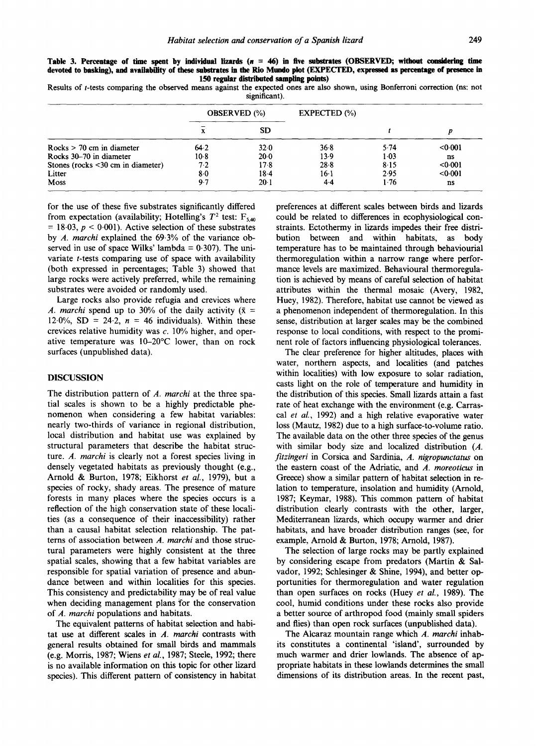| significant).                           |                     |           |                |        |         |  |  |  |
|-----------------------------------------|---------------------|-----------|----------------|--------|---------|--|--|--|
|                                         | <b>OBSERVED</b> (%) |           | $EXPECTED$ $%$ |        |         |  |  |  |
|                                         | л                   | <b>SD</b> |                |        |         |  |  |  |
| $Rocks > 70$ cm in diameter             | 64.2                | 32.0      | 36.8           | 5.74   | < 0.001 |  |  |  |
| Rocks 30–70 in diameter                 | $10-8$              | 20.0      | 13.9           | $1-03$ | ns      |  |  |  |
| Stones (rocks $\leq 30$ cm in diameter) | 7.2                 | 17.8      | 28.8           | 8.15   | < 0.001 |  |  |  |
| Litter                                  | 8.0                 | $18-4$    | $16-1$         | 2.95   | < 0.001 |  |  |  |
| <b>Moss</b>                             | 9.7                 | $20-1$    | $4-4$          | 1.76   | ns      |  |  |  |

Table 3. Percentage of time spent by individual lizards ( $n = 46$ ) in five substrates (OBSERVED; without considering time devoted to basking), and availability of these substrates in the Rio Mundo plot (EXPECTED, expressed as percentage of presence in

**150 regular distributed sampling points) Results of t-tests comparing the observed means against the expected ones are also shown, using Bonferroni correction (ns: not** 

for the use of these five substrates significantly differed from expectation (availability; Hotelling's  $T^2$  test:  $F_{5.40}$  $= 18.03$ ,  $p < 0.001$ ). Active selection of these substrates by *A. marchi* explained the 69.3% of the variance observed in use of space Wilks' lambda =  $0.307$ ). The univariate t-tests comparing use of space with availability (both expressed in percentages; Table 3) showed that large rocks were actively preferred, while the remaining substrates were avoided or randomly used.

Large rocks also provide refugia and crevices where *A. marchi* spend up to 30% of the daily activity ( $\bar{x}$  =  $12.0\%$ , SD = 24.2,  $n = 46$  individuals). Within these crevices relative humidity was c. 10% higher, and operative temperature was 10-20°C lower, than on rock surfaces (unpublished data).

## DISCUSSION

The distribution pattern of *A. marchi* at the three spatial scales is shown to be a highly predictable phenomenon when considering a few habitat variables: nearly two-thirds of variance in regional distribution, local distribution and habitat use was explained by structural parameters that describe the habitat structure. *A. marchi* is clearly not a forest species living in densely vegetated habitats as previously thought (e.g., Arnold & Burton, 1978; Eikhorst *et al.,* 1979), but a species of rocky, shady areas. The presence of mature forests in many places where the species occurs is a reflection of the high conservation state of these localities (as a consequence of their inaccessibility) rather than a causal habitat selection relationship. The patterns of association between *A. marchi* and those structural parameters were highly consistent at the three spatial scales, showing that a few habitat variables are responsible for spatial variation **of presence** and abundance between and within localities for this species. This consistency and predictability may be of real value when deciding management plans for the conservation of *A. marchi* populations and habitats.

The equivalent patterns of habitat selection and habitat use at different scales in *A. marchi* contrasts with general results obtained for small birds and mammals (e.g. Morris, 1987; Wiens *et al.,* 1987; Steele, 1992; there is no available information on this topic for other lizard species). This different pattern of consistency in habitat preferences at different scales between birds and lizards could be related to differences in ecophysiological constraints. Ectothermy in lizards impedes their free distribution between and within habitats, as body temperature has to be maintained through behaviourial thermoregulation within a narrow range where performance levels are maximized. Behavioural thermoregulation is achieved by means of careful selection of habitat attributes within the thermal mosaic (Avery, 1982, Huey, 1982). Therefore, habitat use cannot be viewed as a phenomenon independent of thermoregulation. In this sense, distribution at larger scales may be the combined response to local conditions, with respect to the prominent role of factors influencing physiological tolerances.

The clear preference for higher altitudes, places with water, northern aspects, and localities (and patches within localities) with low exposure to solar radiation, casts light on the role of temperature and humidity in the distribution of this species. Small lizards attain a fast rate of heat exchange with the environment (e.g. Carrascal *et al.,* 1992) and a high relative evaporative water loss (Mautz, 1982) due to a high surface-to-volume ratio. The available data on the other three species of the genus with similar body size and localized distribution (A. *fitzingeri* in Corsica and Sardinia, *A. nigropunctatus* on the eastern coast of the Adriatic, and *A. moreoticus* in Greece) show a similar pattern of habitat selection in relation to temperature, insolation and humidity (Arnold, 1987; Keymar, 1988). This common pattern of habitat distribution clearly contrasts with the other, larger, Mediterranean lizards, which occupy warmer and drier habitats, and have broader distribution ranges (see, for example, Arnold & Burton, 1978; Arnold, 1987).

The selection of large rocks may be partly explained by considering escape from predators (Martin & Salvador, 1992; Schlesinger & Shine, 1994), and better opportunities for thermoregulation and water regulation than open surfaces on rocks (Huey *et aL,* 1989). The cool, humid conditions under these rocks also provide a better source of arthropod food (mainly small spiders and flies) than open rock surfaces (unpublished data).

The Alcaraz mountain range which *A. marchi* inhabits constitutes a continental 'island', surrounded by much warmer and drier lowlands. The **absence of** appropriate habitats in these lowlands determines the small dimensions of its distribution areas. In the recent past,